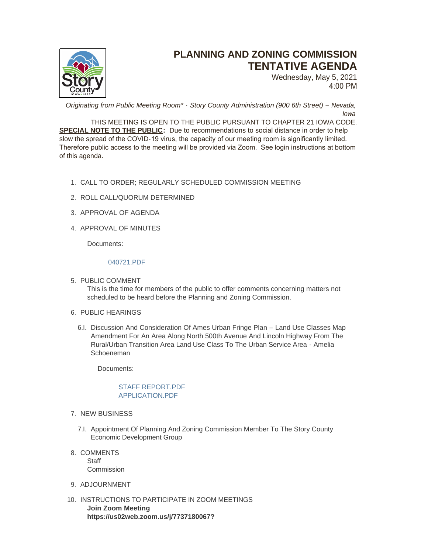

# **PLANNING AND ZONING COMMISSION TENTATIVE AGENDA**

Wednesday, May 5, 2021 4:00 PM

*Originating from Public Meeting Room\* - Story County Administration (900 6th Street) – Nevada, Iowa*

THIS MEETING IS OPEN TO THE PUBLIC PURSUANT TO CHAPTER 21 IOWA CODE. **SPECIAL NOTE TO THE PUBLIC:** Due to recommendations to social distance in order to help slow the spread of the COVID-19 virus, the capacity of our meeting room is significantly limited. Therefore public access to the meeting will be provided via Zoom. See login instructions at bottom of this agenda.

- CALL TO ORDER; REGULARLY SCHEDULED COMMISSION MEETING 1.
- 2. ROLL CALL/QUORUM DETERMINED
- 3. APPROVAL OF AGENDA
- 4. APPROVAL OF MINUTES

Documents:

## [040721.PDF](http://www.storycountyiowa.gov/AgendaCenter/ViewFile/Item/21030?fileID=15934)

5. PUBLIC COMMENT

This is the time for members of the public to offer comments concerning matters not scheduled to be heard before the Planning and Zoning Commission.

- 6. PUBLIC HEARINGS
	- 6.I. Discussion And Consideration Of Ames Urban Fringe Plan Land Use Classes Map Amendment For An Area Along North 500th Avenue And Lincoln Highway From The Rural/Urban Transition Area Land Use Class To The Urban Service Area - Amelia Schoeneman

Documents:

## STAFF REPORT PDF [APPLICATION.PDF](http://www.storycountyiowa.gov/AgendaCenter/ViewFile/Item/21031?fileID=15936)

- 7. NEW BUSINESS
	- 7.I. Appointment Of Planning And Zoning Commission Member To The Story County Economic Development Group
- 8. COMMENTS Staff **Commission**
- 9. ADJOURNMENT
- 10. INSTRUCTIONS TO PARTICIPATE IN ZOOM MEETINGS **Join Zoom Meeting https://us02web.zoom.us/j/7737180067?**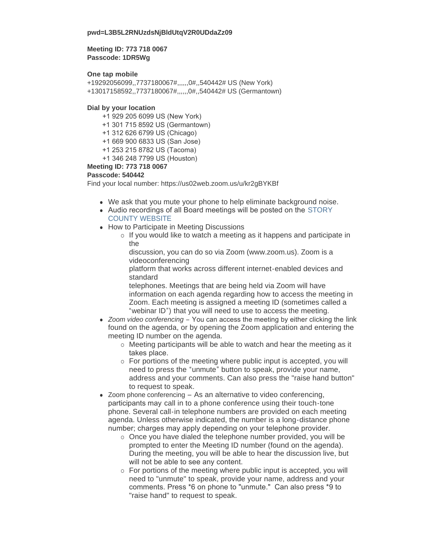### **pwd=L3B5L2RNUzdsNjBldUtqV2R0UDdaZz09**

## **Meeting ID: 773 718 0067 Passcode: 1DR5Wg**

## **One tap mobile**

+19292056099,,7737180067#,,,,,,0#,,540442# US (New York) +13017158592,,7737180067#,,,,,,0#,,540442# US (Germantown)

### **Dial by your location**

- +1 929 205 6099 US (New York)
- +1 301 715 8592 US (Germantown)
- +1 312 626 6799 US (Chicago)
- +1 669 900 6833 US (San Jose)
- +1 253 215 8782 US (Tacoma)
- +1 346 248 7799 US (Houston)

### **Meeting ID: 773 718 0067**

### **Passcode: 540442**

Find your local number: https://us02web.zoom.us/u/kr2gBYKBf

- We ask that you mute your phone to help eliminate background noise.
- Audio recordings of all Board meetings will be posted on the STORY COUNTY WEBSITE
- How to Participate in Meeting Discussions
	- $\circ$  If you would like to watch a meeting as it happens and participate in the

discussion, you can do so via Zoom (www.zoom.us). Zoom is a videoconferencing

platform that works across different internet-enabled devices and standard

telephones. Meetings that are being held via Zoom will have information on each agenda regarding how to access the meeting in Zoom. Each meeting is assigned a meeting ID (sometimes called a "webinar ID") that you will need to use to access the meeting.

- *Zoom video conferencing* You can access the meeting by either clicking the link found on the agenda, or by opening the Zoom application and entering the meeting ID number on the agenda.
	- $\circ$  Meeting participants will be able to watch and hear the meeting as it takes place.
	- o For portions of the meeting where public input is accepted, you will need to press the "unmute" button to speak, provide your name, address and your comments. Can also press the "raise hand button" to request to speak.
- $\bullet$  Zoom phone conferencing As an alternative to video conferencing, participants may call in to a phone conference using their touch-tone phone. Several call-in telephone numbers are provided on each meeting agenda. Unless otherwise indicated, the number is a long-distance phone number; charges may apply depending on your telephone provider.
	- $\circ$  Once you have dialed the telephone number provided, you will be prompted to enter the Meeting ID number (found on the agenda). During the meeting, you will be able to hear the discussion live, but will not be able to see any content.
	- o For portions of the meeting where public input is accepted, you will need to "unmute" to speak, provide your name, address and your comments. Press \*6 on phone to "unmute." Can also press \*9 to "raise hand" to request to speak.